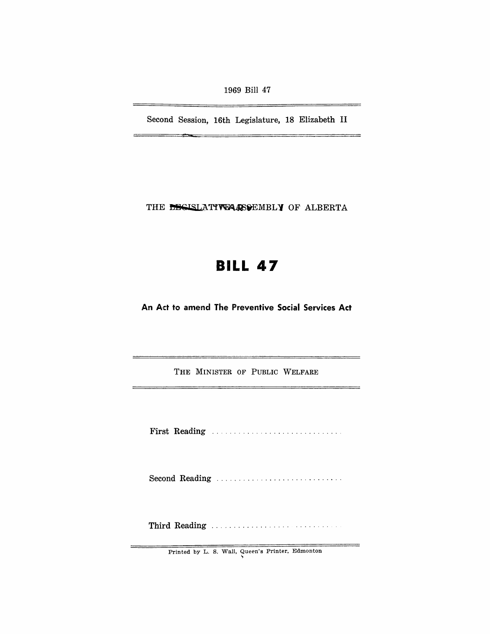1969 Bill 47

Second Session, 16th Legislature, 18 Elizabeth II

THE DECISLATIVE ASSEMBLY OF ALBERTA

## **BILL 47**

An Act to amend The Preventive Social Services Act

THE MINISTER OF PUBLIC WELFARE

First Reading ............................. .

Second Reading

Third Reading .................. . ...... .

Printed by L. S. Wall, Queen's Printer, Edmonton<br>
b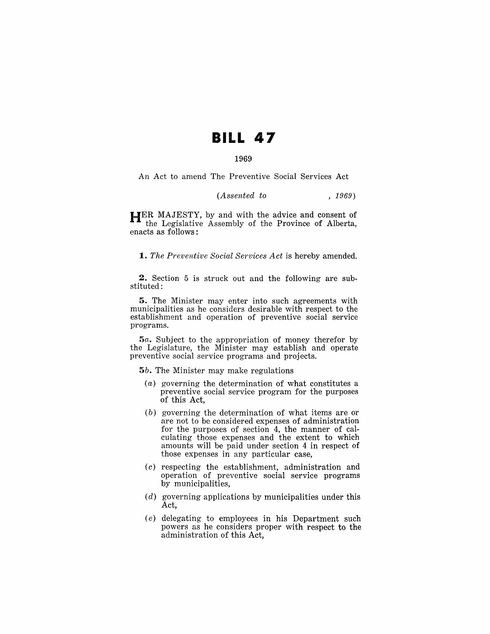# **BILL 47**

### 1969

An Act to amend The Preventive Social Services Act

| (Assented to |  |  | , 1969) |
|--------------|--|--|---------|
|--------------|--|--|---------|

HER MAJESTY, by and with the advice and consent of the Legislative Assembly of the Province of Alberta, enacts as follows:

*1. The Preventive Social Services Act* is hereby amended.

2. Section 5 is struck out and the following are substituted:

5. The Minister may enter into such agreements with municipalities as he considers desirable with respect to the establishment and operation of preventive social service programs.

*5a.* Subject to the appropriation of money therefor by the Legislature, the Minister may establish and operate preventive social service programs and projects.

*5b.* The Minister may make regulations

- (a) governing the determination of what constitutes a preventive social service program for the purposes of this Act,
- (b) governing the determination of what items are or are not to be considered expenses of administration for the purposes of section 4, the manner of calculating those expenses and the extent to which amounts will be paid under section 4 in respect of those expenses in any particular case,
- (c) respecting the establishment, administration and operation of preventive social service programs by municipalities,
- (d) governing applications by municipalities under this Act,
- (e) delegating to employees in his Department such powers as he considers proper with respect to the administration of this Act,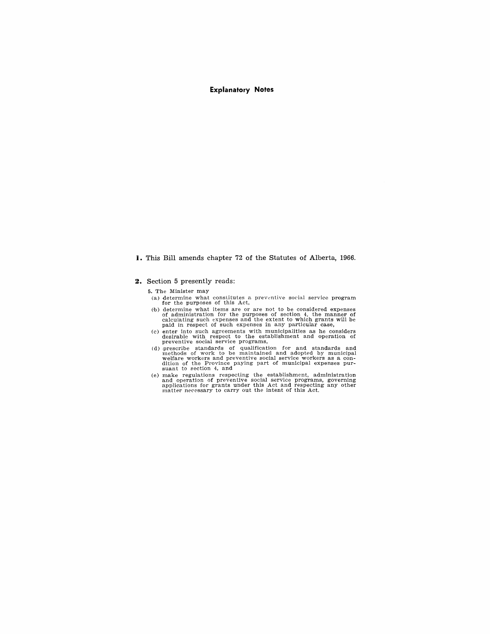### **Explanatory Notes**

#### **i. This Bill amends chapter 72 of the Statutes of Alberta, 1966.**

#### **2. Section 5 presently reads:**

**5.** The Minister may

- (a) determine what constitutes a preventive social service program for the purposes of this Act, for the purposes of this Act,
- (b) determine what items are or are not to be considered expenses of administration for the purposes of section 4, the manner of calculating such expenses and the extent to which grants will be paid in respect of such expe
- (c) enter into such agreements with municipalities as he considers desirable with respect to the establishment and operation of preventive social service programs,
- (d) prescribe standards of qualification for and standards and methods of work to be maintained and adopted by municipal welfare workers and preventive social service workers as a condition of the Province paying part of
- (e) make regulations respecting the establishment, administration and operation of preventive social service programs, governing applications for grants under this Act and respecting any other matter necessary to carry out